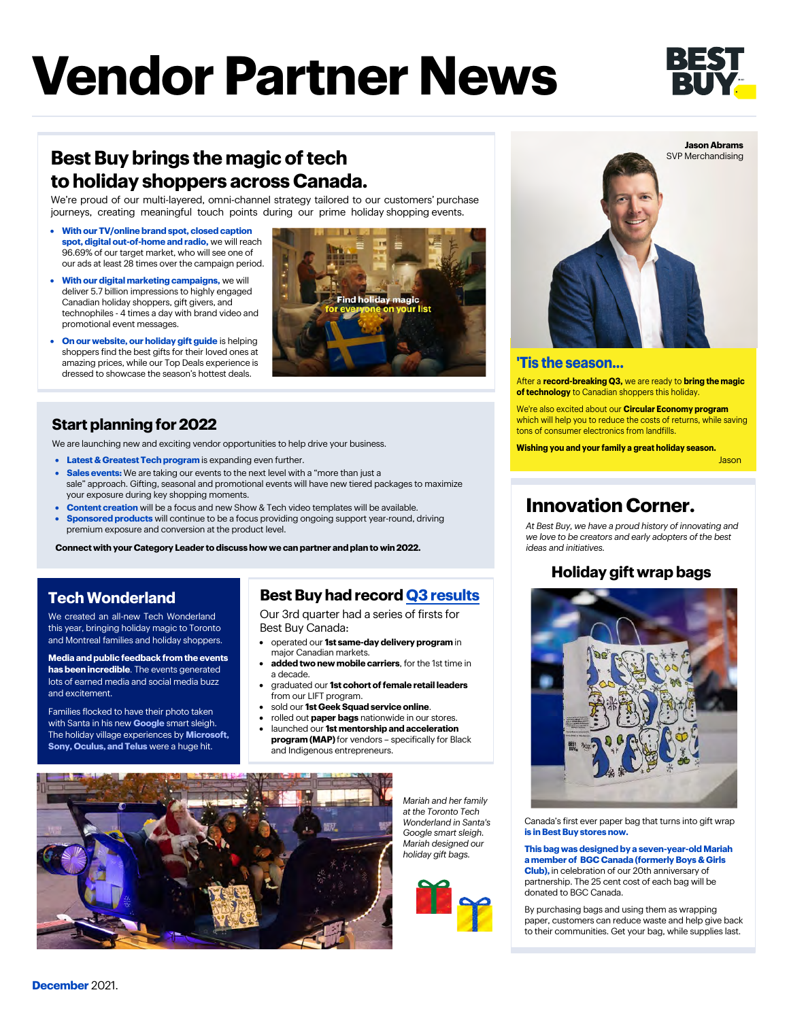# **Vendor Partner News**



# **Best Buy brings the magic of tech to holiday shoppers across Canada.**

We're proud of our multi-layered, omni-channel strategy tailored to our customers' purchase journeys, creating meaningful touch points during our prime holiday shopping events.

- **With our TV/online brand spot, closed caption spot, digital out-of-home and radio,** we will reach 96.69% of our target market, who will see one of our ads at least 28 times over the campaign period.
- **With our digital marketing campaigns,** we will deliver 5.7 billion impressions to highly engaged Canadian holiday shoppers, gift givers, and technophiles - 4 times a day with brand video and promotional event messages.
- **On our website, our holiday gift guide** is helping shoppers find the best gifts for their loved ones at amazing prices, while our Top Deals experience is dressed to showcase the season's hottest deals.



## **Start planning for 2022**

We are launching new and exciting vendor opportunities to help drive your business.

- **Latest & Greatest Tech program** is expanding even further.
	- **Sales events:** We are taking our events to the next level with a "more than just a sale" approach. Gifting, seasonal and promotional events will have new tiered packages to maximize your exposure during key shopping moments.
	- **Content creation** will be a focus and new Show & Tech video templates will be available. • **Sponsored products** will continue to be a focus providing ongoing support year-round, driving premium exposure and conversion at the product level.

**Connect with your Category Leader to discuss how we can partner and plan to win 2022.** 

## **Tech Wonderland**

We created an all-new Tech Wonderland this year, bringing holiday magic to Toronto and Montreal families and holiday shoppers.

**Media and public feedback from the events has been incredible**. The events generated lots of earned media and social media buzz and excitement.

Families flocked to have their photo taken with Santa in his new **Google** smart sleigh. The holiday village experiences by **Microsoft, Sony, Oculus, and Telus** were a huge hit.

## **Best Buy had record Q3 [results](https://corporate.bestbuy.com/best-buy-reports-better-than-expected-q3-fy22-results/)**

Our 3rd quarter had a series of firsts for Best Buy Canada:

- operated our **1st same-day delivery program** in major Canadian markets.
- **added two new mobile carriers**, for the 1st time in a decade.
- graduated our **1st cohort of female retail leaders** from our LIFT program.
- sold our **1st Geek Squad service online**.

and Indigenous entrepreneurs.

• rolled out **paper bags** nationwide in our stores. • launched our **1st mentorship and acceleration program (MAP)** for vendors – specifically for Black



*Mariah and her family at the Toronto Tech Wonderland in Santa's Google smart sleigh. Mariah designed our holiday gift bags.*





#### **'Tis the season...**

After a **record-breaking Q3,** we are ready to **bring the magic of technology** to Canadian shoppers this holiday.

We're also excited about our **Circular Economy program** which will help you to reduce the costs of returns, while saving tons of consumer electronics from landfills.

**Wishing you and your family a great holiday season.**

## **Innovation Corner.**

*At Best Buy, we have a proud history of innovating and we love to be creators and early adopters of the best ideas and initiatives.*

## **Holiday gift wrap bags**



Canada's first ever paper bag that turns into gift wrap **is in Best Buy stores now.**

#### **This bag was designed by a seven-year-old Mariah a member of BGC Canada (formerly Boys & Girls Club),** in celebration of our 20th anniversary of partnership. The 25 cent cost of each bag will be donated to BGC Canada.

By purchasing bags and using them as wrapping paper, customers can reduce waste and help give back [to their communities. Get your](mailto:bbfbinfo@bestbuycanada.ca) bag, while supplies last.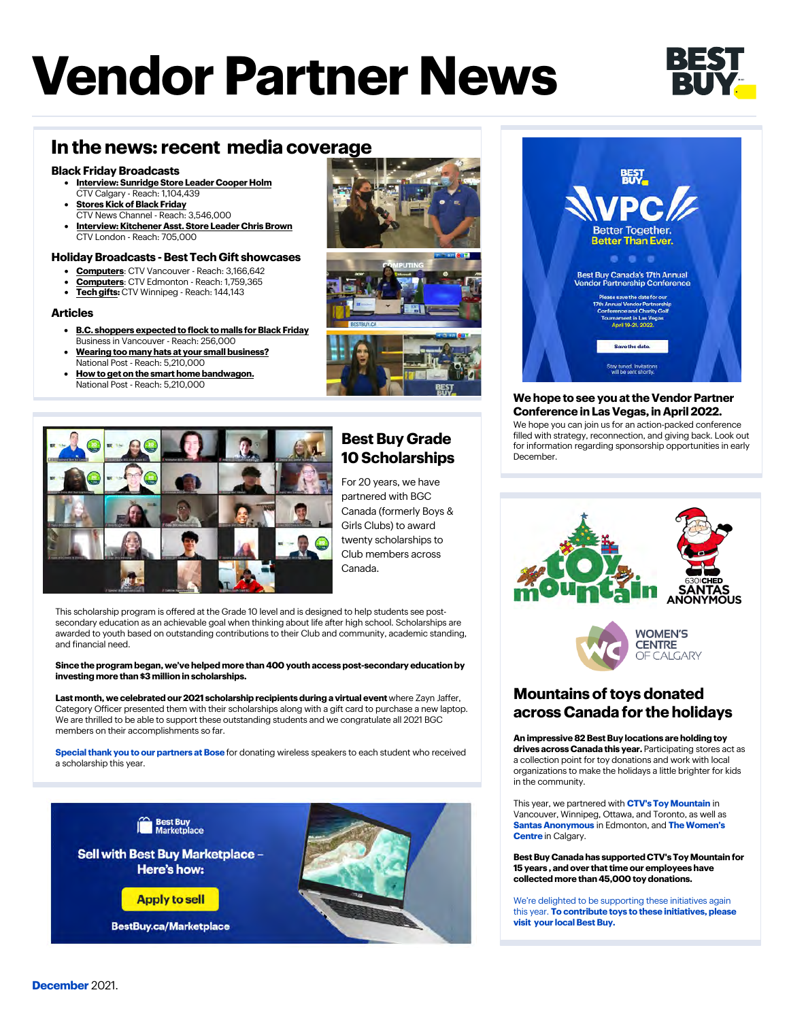# **Vendor Partner News**



## **In the news: recent media coverage**

#### **Black Friday Broadcasts**

- **[Interview: Sunridge Store Leader Cooper Holm](https://calgary.ctvnews.ca/video?clipId=2330565&binId=1.1201914&playlistPageNum=1)** CTV Calgary - Reach: 1,104,439
- **[Stores Kick of Black Friday](https://api.criticalmention.com/app/#/clip/search/17144890-cd86-4904-8b6a-08ad3210d9da?slim=1&token=681b35cc-0bd4-4372-8694-4bd318063274&slim=1)** CTV News Channel - Reach: 3,546,000
- **Interview: Kitchener [Asst. Store Leader Chris Brown](https://london.ctvnews.ca/late-for-black-friday-don-t-rush-retailers-and-shoppers-contend-1.5683001)** CTV London - Reach: 705,000

#### **Holiday Broadcasts - Best Tech Gift showcases**

- **Computers**[: CTV Vancouver Reach: 3,166,642](https://bc.ctvnews.ca/video?clipId=2330729&binId=1.1184756&playlistPageNum=1)
- **Computers**[: CTV Edmonton Reach: 1,759,365](https://edmonton.ctvnews.ca/video?clipId=2327860&binId=1.1203468&playlistPageNum=1)
- **Tech gifts:** [CTV Winnipeg Reach: 144,143](https://winnipeg.ctvnews.ca/video?clipId=2325112&binId=1.1206882&playlistPageNum=1)

#### **Articles**

- **[B.C. shoppers expected to flock to malls for Black Friday](https://biv.com/article/2021/11/bc-shoppers-expected-flock-malls-black-friday)** Business in Vancouver - Reach: 256,000
- **[Wearing too many hats at your small business?](https://nationalpost.com/sponsored/business-sponsored/wearing-too-many-hats-at-your-small-business-theres-help-if-you-know-where-to-look)**  National Post - Reach: 5,210,000
- **[How to get on the smart home bandwagon.](https://nationalpost.com/shopping-essentials/smart-homes-for-dummies-according-to-a-tech-expert)**  National Post - Reach: 5,210,000









### **Best Buy Grade 10 Scholarships**

For 20 years, we have partnered with BGC Canada (formerly Boys & Girls Clubs) to award twenty scholarships to Club members across Canada.

This scholarship program is offered at the Grade 10 level and is designed to help students see postsecondary education as an achievable goal when thinking about life after high school. Scholarships are awarded to youth based on outstanding contributions to their Club and community, academic standing, and financial need.

#### **Since the program began, we've helped more than 400 youth access post-secondary education by investing more than \$3 million in scholarships.**

Last month, we celebrated our 2021 scholarship recipients during a virtual event where Zayn Jaffer, Category Officer presented them with their scholarships along with a gift card to purchase a new laptop. We are thrilled to be able to support these outstanding students and we congratulate all 2021 BGC members on their accomplishments so far.

**Special thank you to our partners at Bose** for donating wireless speakers to each student who received a scholarship this year.





#### **We hope to see you at the Vendor Partner Conference in Las Vegas, in April 2022.**

We hope you can join us for an action-packed conference filled with strategy, reconnection, and giving back. Look out for information regarding sponsorship opportunities in early December.



### **Mountains of toys donated across Canada for the holidays**

**An impressive 82 Best Buy locations are holding toy drives across Canada this year.** Participating stores act as a collection point for toy donations and work with local organizations to make the holidays a little brighter for kids in the community.

This year, we partnered with **CTV's Toy Mountain** in Vancouver, Winnipeg, Ottawa, and Toronto, as well as **Santas Anonymous** in Edmonton, and **The Women's Centre** in Calgary.

**Best Buy Canada has supported CTV's Toy Mountain for 15 years , and over that time our employees have collected more than 45,000 toy donations.** 

We're delighted to be supporting these initiatives again this year. **To contribute toys to these initiatives, please visit your local Best Buy.**